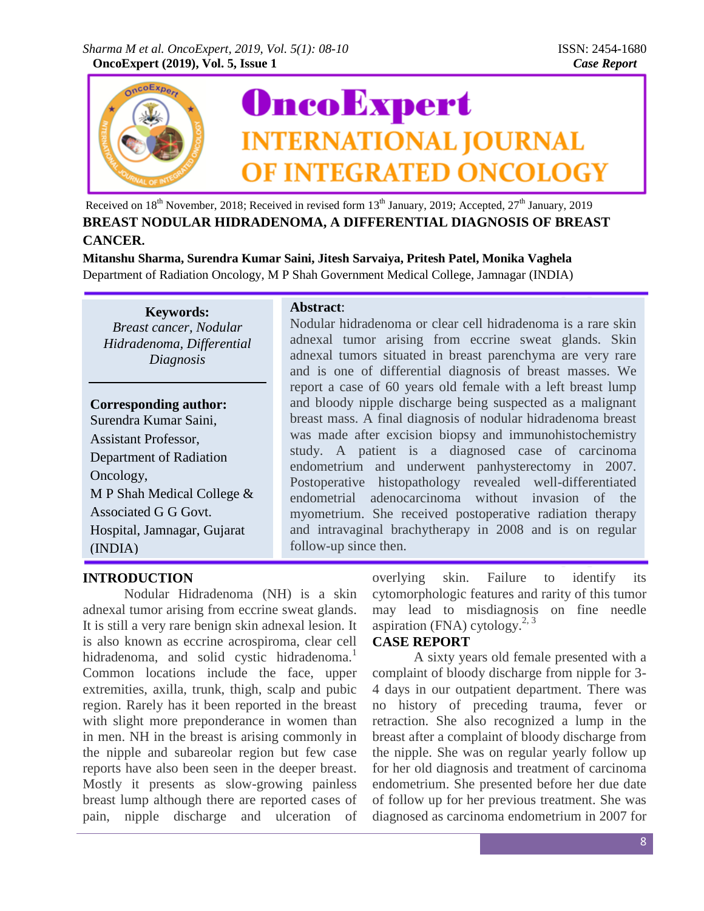

Received on 18<sup>th</sup> November, 2018; Received in revised form 13<sup>th</sup> January, 2019; Accepted, 27<sup>th</sup> January, 2019 **BREAST NODULAR HIDRADENOMA, A DIFFERENTIAL DIAGNOSIS OF BREAST CANCER.**

**Mitanshu Sharma, Surendra Kumar Saini, Jitesh Sarvaiya, Pritesh Patel, Monika Vaghela** Department of Radiation Oncology, M P Shah Government Medical College, Jamnagar (INDIA)

**Keywords:** *Breast cancer, Nodular Hidradenoma, Differential Diagnosis*

#### **Corresponding author:**

Surendra Kumar Saini, Assistant Professor, Department of Radiation Oncology, M P Shah Medical College & Associated G G Govt. Hospital, Jamnagar, Gujarat (INDIA)

### **Abstract**:

Nodular hidradenoma or clear cell hidradenoma is a rare skin adnexal tumor arising from eccrine sweat glands. Skin adnexal tumors situated in breast parenchyma are very rare and is one of differential diagnosis of breast masses. We report a case of 60 years old female with a left breast lump and bloody nipple discharge being suspected as a malignant breast mass. A final diagnosis of nodular hidradenoma breast was made after excision biopsy and immunohistochemistry study. A patient is a diagnosed case of carcinoma endometrium and underwent panhysterectomy in 2007. Postoperative histopathology revealed well-differentiated endometrial adenocarcinoma without invasion of the myometrium. She received postoperative radiation therapy and intravaginal brachytherapy in 2008 and is on regular follow-up since then.

# **INTRODUCTION**

Nodular Hidradenoma (NH) is a skin adnexal tumor arising from eccrine sweat glands. It is still a very rare benign skin adnexal lesion. It is also known as eccrine acrospiroma, clear cell hidradenoma, and solid cystic hidradenoma.<sup>1</sup> Common locations include the face, upper extremities, axilla, trunk, thigh, scalp and pubic region. Rarely has it been reported in the breast with slight more preponderance in women than in men. NH in the breast is arising commonly in the nipple and subareolar region but few case reports have also been seen in the deeper breast. Mostly it presents as slow-growing painless breast lump although there are reported cases of pain, nipple discharge and ulceration of overlying skin. Failure to identify its cytomorphologic features and rarity of this tumor may lead to misdiagnosis on fine needle aspiration (FNA) cytology.<sup>2, 3</sup>

# **CASE REPORT**

A sixty years old female presented with a complaint of bloody discharge from nipple for 3- 4 days in our outpatient department. There was no history of preceding trauma, fever or retraction. She also recognized a lump in the breast after a complaint of bloody discharge from the nipple. She was on regular yearly follow up for her old diagnosis and treatment of carcinoma endometrium. She presented before her due date of follow up for her previous treatment. She was diagnosed as carcinoma endometrium in 2007 for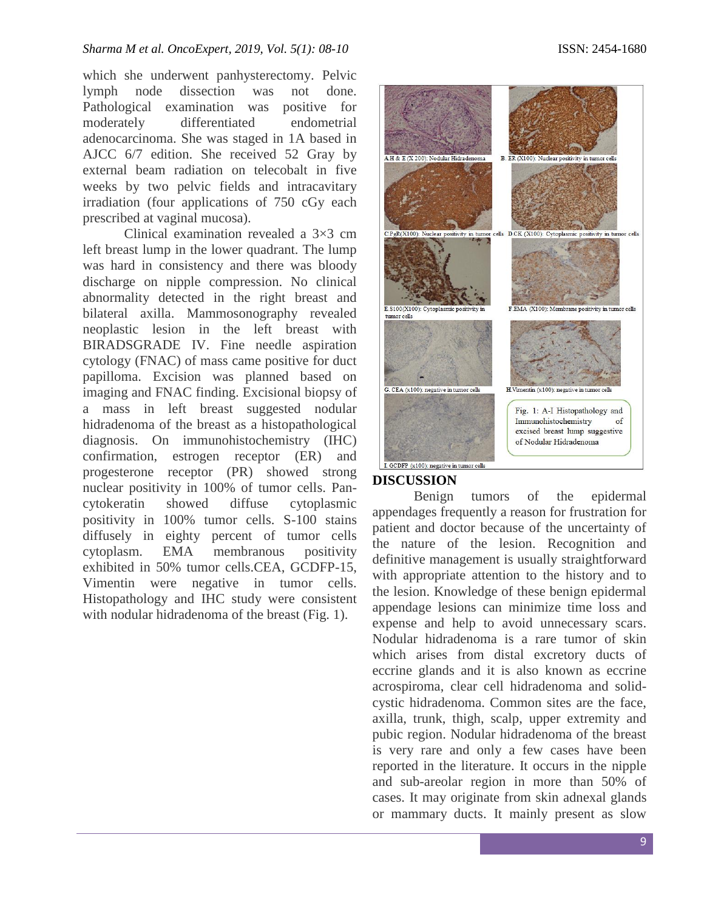which she underwent panhysterectomy. Pelvic lymph node dissection was not done. Pathological examination was positive for moderately differentiated endometrial adenocarcinoma. She was staged in 1A based in AJCC 6/7 edition. She received 52 Gray by external beam radiation on telecobalt in five weeks by two pelvic fields and intracavitary irradiation (four applications of 750 cGy each prescribed at vaginal mucosa).

Clinical examination revealed a 3×3 cm left breast lump in the lower quadrant. The lump was hard in consistency and there was bloody discharge on nipple compression. No clinical abnormality detected in the right breast and bilateral axilla. Mammosonography revealed neoplastic lesion in the left breast with BIRADSGRADE IV. Fine needle aspiration cytology (FNAC) of mass came positive for duct papilloma. Excision was planned based on imaging and FNAC finding. Excisional biopsy of a mass in left breast suggested nodular hidradenoma of the breast as a histopathological diagnosis. On immunohistochemistry (IHC) confirmation, estrogen receptor (ER) and progesterone receptor (PR) showed strong nuclear positivity in 100% of tumor cells. Pancytokeratin showed diffuse cytoplasmic positivity in 100% tumor cells. S-100 stains diffusely in eighty percent of tumor cells cytoplasm. EMA membranous positivity exhibited in 50% tumor cells.CEA, GCDFP-15, Vimentin were negative in tumor cells. Histopathology and IHC study were consistent with nodular hidradenoma of the breast (Fig. 1).



# **DISCUSSION**

Benign tumors of the epidermal appendages frequently a reason for frustration for patient and doctor because of the uncertainty of the nature of the lesion. Recognition and definitive management is usually straightforward with appropriate attention to the history and to the lesion. Knowledge of these benign epidermal appendage lesions can minimize time loss and expense and help to avoid unnecessary scars. Nodular hidradenoma is a rare tumor of skin which arises from distal excretory ducts of eccrine glands and it is also known as eccrine acrospiroma, clear cell hidradenoma and solidcystic hidradenoma. Common sites are the face, axilla, trunk, thigh, scalp, upper extremity and pubic region. Nodular hidradenoma of the breast is very rare and only a few cases have been reported in the literature. It occurs in the nipple and sub-areolar region in more than 50% of cases. It may originate from skin adnexal glands or mammary ducts. It mainly present as slow